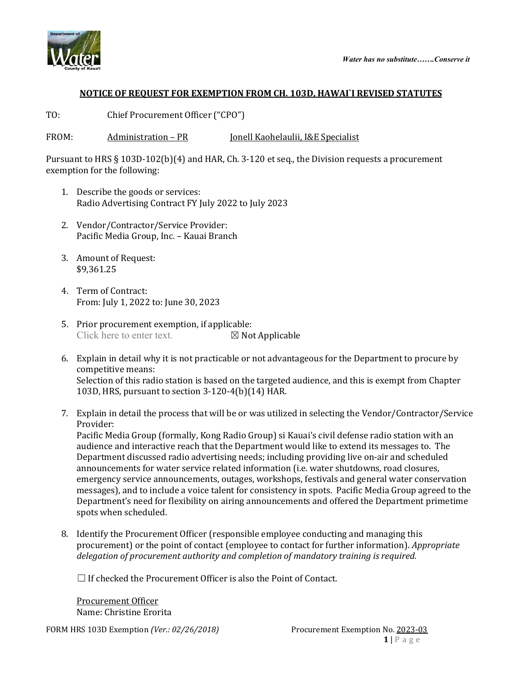



## **NOTICE OF REQUEST FOR EXEMPTION FROM CH. 103D, HAWAI`I REVISED STATUTES**

TO: Chief Procurement Officer ("CPO")

FROM: Administration – PR Jonell Kaohelaulii, I&E Specialist

Pursuant to HRS § 103D-102(b)(4) and HAR, Ch. 3-120 et seq., the Division requests a procurement exemption for the following:

- 1. Describe the goods or services: Radio Advertising Contract FY July 2022 to July 2023
- 2. Vendor/Contractor/Service Provider: Pacific Media Group, Inc. – Kauai Branch
- 3. Amount of Request: \$9,361.25
- 4. Term of Contract: From: July 1, 2022 to: June 30, 2023
- 5. Prior procurement exemption, if applicable:<br>Click here to enter text.  $\boxtimes$  Not Applicable Click here to enter text.
- 6. Explain in detail why it is not practicable or not advantageous for the Department to procure by competitive means: Selection of this radio station is based on the targeted audience, and this is exempt from Chapter 103D, HRS, pursuant to section 3-120-4(b)(14) HAR.
- 7. Explain in detail the process that will be or was utilized in selecting the Vendor/Contractor/Service Provider:

Pacific Media Group (formally, Kong Radio Group) si Kauai's civil defense radio station with an audience and interactive reach that the Department would like to extend its messages to. The Department discussed radio advertising needs; including providing live on-air and scheduled announcements for water service related information (i.e. water shutdowns, road closures, emergency service announcements, outages, workshops, festivals and general water conservation messages), and to include a voice talent for consistency in spots. Pacific Media Group agreed to the Department's need for flexibility on airing announcements and offered the Department primetime spots when scheduled.

8. Identify the Procurement Officer (responsible employee conducting and managing this procurement) or the point of contact (employee to contact for further information). *Appropriate delegation of procurement authority and completion of mandatory training is required.*

 $\Box$  If checked the Procurement Officer is also the Point of Contact.

Procurement Officer Name: Christine Erorita

FORM HRS 103D Exemption *(Ver.: 02/26/2018)* Procurement Exemption No. 2023-03